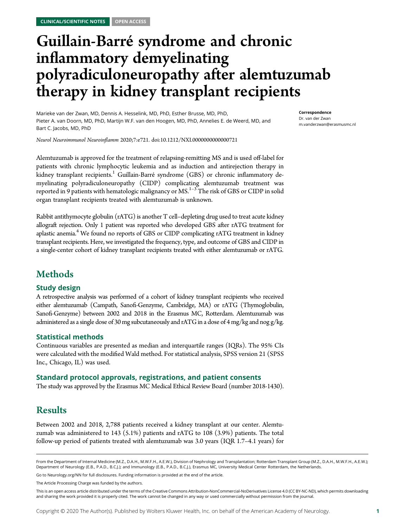# <span id="page-0-0"></span>Guillain-Barré syndrome and chronic inflammatory demyelinating polyradiculoneuropathy after alemtuzumab therapy in kidney transplant recipients

Marieke van der Zwan, MD, Dennis A. Hesselink, MD, PhD, Esther Brusse, MD, PhD, Pieter A. van Doorn, MD, PhD, Martijn W.F. van den Hoogen, MD, PhD, Annelies E. de Weerd, MD, and Bart C. Jacobs, MD, PhD

Correspondence Dr. van der Zwan [m.vanderzwan@erasmusmc.nl](mailto:m.vanderzwan@erasmusmc.nl)

Neurol Neuroimmunol Neuroinflamm 2020;7:e721. doi[:10.1212/NXI.0000000000000721](http://dx.doi.org/10.1212/NXI.0000000000000721)

Alemtuzumab is approved for the treatment of relapsing-remitting MS and is used off-label for patients with chronic lymphocytic leukemia and as induction and antirejection therapy in kidney transplant recipients.<sup>1</sup> Guillain-Barré syndrome (GBS) or chronic inflammatory demyelinating polyradiculoneuropathy (CIDP) complicating alemtuzumab treatment was reported in 9 patients with hematologic malignancy or MS.<sup>1-3</sup> The risk of GBS or CIDP in solid organ transplant recipients treated with alemtuzumab is unknown.

Rabbit antithymocyte globulin (rATG) is another T cell–depleting drug used to treat acute kidney allograft rejection. Only 1 patient was reported who developed GBS after rATG treatment for aplastic anemia.4 We found no reports of GBS or CIDP complicating rATG treatment in kidney transplant recipients. Here, we investigated the frequency, type, and outcome of GBS and CIDP in a single-center cohort of kidney transplant recipients treated with either alemtuzumab or rATG.

# **Methods**

#### Study design

A retrospective analysis was performed of a cohort of kidney transplant recipients who received either alemtuzumab (Campath, Sanofi-Genzyme, Cambridge, MA) or rATG (Thymoglobulin, Sanofi-Genzyme) between 2002 and 2018 in the Erasmus MC, Rotterdam. Alemtuzumab was administered as a single dose of 30 mg subcutaneously and rATG in a dose of 4 mg/kg and nog g/kg.

#### Statistical methods

Continuous variables are presented as median and interquartile ranges (IQRs). The 95% CIs were calculated with the modified Wald method. For statistical analysis, SPSS version 21 (SPSS Inc., Chicago, IL) was used.

#### Standard protocol approvals, registrations, and patient consents

The study was approved by the Erasmus MC Medical Ethical Review Board (number 2018-1430).

# **Results**

Between 2002 and 2018, 2,788 patients received a kidney transplant at our center. Alemtuzumab was administered to 143 (5.1%) patients and rATG to 108 (3.9%) patients. The total follow-up period of patients treated with alemtuzumab was 3.0 years (IQR 1.7–4.1 years) for

Go to [Neurology.org/NN](https://nn.neurology.org/content/7/4/e721/tab-article-info) for full disclosures. Funding information is provided at the end of the article.

From the Department of Internal Medicine (M.Z., D.A.H., M.W.F.H., A.E.W.), Division of Nephrology and Transplantation; Rotterdam Transplant Group (M.Z., D.A.H., M.W.F.H., A.E.W.); Department of Neurology (E.B., P.A.D., B.C.J.); and Immunology (E.B., P.A.D., B.C.J.), Erasmus MC, University Medical Center Rotterdam, the Netherlands.

The Article Processing Charge was funded by the authors.

This is an open access article distributed under the terms of the [Creative Commons Attribution-NonCommercial-NoDerivatives License 4.0 \(CC BY-NC-ND\),](http://creativecommons.org/licenses/by-nc-nd/4.0/) which permits downloading and sharing the work provided it is properly cited. The work cannot be changed in any way or used commercially without permission from the journal.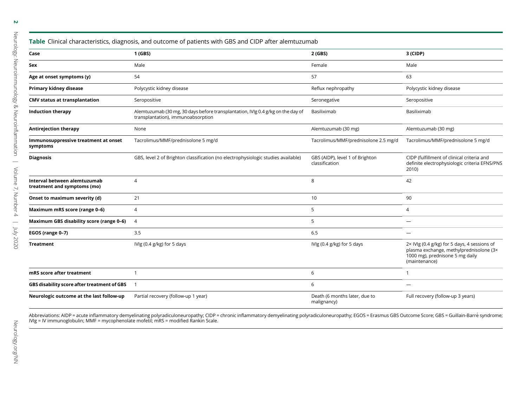|                                                             | <b>Table</b> Clinical characteristics, diagnosis, and outcome of patients with GBS and CIDP after alemtuzumab         |                                                   |                                                                                                                                             |
|-------------------------------------------------------------|-----------------------------------------------------------------------------------------------------------------------|---------------------------------------------------|---------------------------------------------------------------------------------------------------------------------------------------------|
| Case                                                        | 1 (GBS)                                                                                                               | 2 (GBS)                                           | 3 (CIDP)                                                                                                                                    |
| Sex                                                         | Male                                                                                                                  | Female                                            | Male                                                                                                                                        |
| Age at onset symptoms (y)                                   | 54                                                                                                                    | 57                                                | 63                                                                                                                                          |
| Primary kidney disease                                      | Polycystic kidney disease                                                                                             | Reflux nephropathy                                | Polycystic kidney disease                                                                                                                   |
| <b>CMV status at transplantation</b>                        | Seropositive                                                                                                          | Seronegative                                      | Seropositive                                                                                                                                |
| <b>Induction therapy</b>                                    | Alemtuzumab (30 mg, 30 days before transplantation, IVIg 0.4 g/kg on the day of<br>transplantation), immunoabsorption | Basiliximab                                       | Basiliximab                                                                                                                                 |
| <b>Antirejection therapy</b>                                | None                                                                                                                  | Alemtuzumab (30 mg)                               | Alemtuzumab (30 mg)                                                                                                                         |
| Immunosuppressive treatment at onset<br>symptoms            | Tacrolimus/MMF/prednisolone 5 mg/d                                                                                    | Tacrolimus/MMF/prednisolone 2.5 mg/d              | Tacrolimus/MMF/prednisolone 5 mg/d                                                                                                          |
| <b>Diagnosis</b>                                            | GBS, level 2 of Brighton classification (no electrophysiologic studies available)                                     | GBS (AIDP), level 1 of Brighton<br>classification | CIDP (fulfillment of clinical criteria and<br>definite electrophysiologic criteria EFNS/PNS<br>2010)                                        |
| Interval between alemtuzumab<br>treatment and symptoms (mo) | $\overline{4}$                                                                                                        | 8                                                 | 42                                                                                                                                          |
| Onset to maximum severity (d)                               | 21                                                                                                                    | 10                                                | 90                                                                                                                                          |
| Maximum mRS score (range 0-6)                               | 4                                                                                                                     | 5                                                 | 4                                                                                                                                           |
| Maximum GBS disability score (range 0-6)                    | $\overline{4}$                                                                                                        | 5                                                 | -                                                                                                                                           |
| EGOS (range 0-7)                                            | 3.5                                                                                                                   | 6.5                                               | -                                                                                                                                           |
| <b>Treatment</b>                                            | IVIg (0.4 g/kg) for 5 days                                                                                            | IVIg (0.4 g/kg) for 5 days                        | 2× IVIg (0.4 g/kg) for 5 days, 4 sessions of<br>plasma exchange, methylprednisolone (3x<br>1000 mg), prednisone 5 mg daily<br>(maintenance) |
| mRS score after treatment                                   | $\overline{1}$                                                                                                        | 6                                                 | 1                                                                                                                                           |
| GBS disability score after treatment of GBS                 | $\overline{\phantom{0}}$                                                                                              | 6                                                 |                                                                                                                                             |
| Neurologic outcome at the last follow-up                    | Partial recovery (follow-up 1 year)                                                                                   | Death (6 months later, due to<br>malignancy)      | Full recovery (follow-up 3 years)                                                                                                           |

Abbreviations: AIDP = acute inflammatory demyelinating polyradiculoneuropathy; CIDP = chronic inflammatory demyelinating polyradiculoneuropathy; EGOS = Erasmus GBS Outcome Score; GBS = Guillain-Barré syndrome;<br>IVIg = IV im

 $\overline{2}$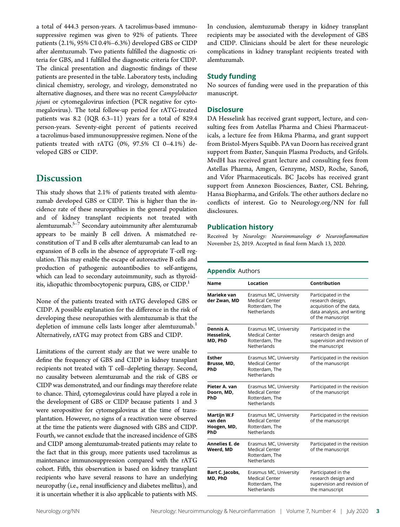a total of 444.3 person-years. A tacrolimus-based immunosuppressive regimen was given to 92% of patients. Three patients (2.1%, 95% CI 0.4%–6.3%) developed GBS or CIDP after alemtuzumab. Two patients fulfilled the diagnostic criteria for GBS, and 1 fulfilled the diagnostic criteria for CIDP. The clinical presentation and diagnostic findings of these patients are presented in the table. Laboratory tests, including clinical chemistry, serology, and virology, demonstrated no alternative diagnoses, and there was no recent Campylobacter jejuni or cytomegalovirus infection (PCR negative for cytomegalovirus). The total follow-up period for rATG-treated patients was 8.2 (IQR 6.3–11) years for a total of 829.4 person-years. Seventy-eight percent of patients received a tacrolimus-based immunosuppressive regimen. None of the patients treated with rATG (0%, 97.5% CI 0–4.1%) developed GBS or CIDP.

# **Discussion**

This study shows that 2.1% of patients treated with alemtuzumab developed GBS or CIDP. This is higher than the incidence rate of these neuropathies in the general population and of kidney transplant recipients not treated with alemtuzumab.<sup>5–7</sup> Secondary autoimmunity after alemtuzumab appears to be mainly B cell driven. A mismatched reconstitution of T and B cells after alemtuzumab can lead to an expansion of B cells in the absence of appropriate T-cell regulation. This may enable the escape of autoreactive B cells and production of pathogenic autoantibodies to self-antigens, which can lead to secondary autoimmunity, such as thyroiditis, idiopathic thrombocytopenic purpura, GBS, or CIDP.<sup>1</sup>

None of the patients treated with rATG developed GBS or CIDP. A possible explanation for the difference in the risk of developing these neuropathies with alemtuzumab is that the depletion of immune cells lasts longer after alemtuzumab.<sup>1</sup> Alternatively, rATG may protect from GBS and CIDP.

Limitations of the current study are that we were unable to define the frequency of GBS and CIDP in kidney transplant recipients not treated with T cell–depleting therapy. Second, no causality between alemtuzumab and the risk of GBS or CIDP was demonstrated, and our findings may therefore relate to chance. Third, cytomegalovirus could have played a role in the development of GBS or CIDP because patients 1 and 3 were seropositive for cytomegalovirus at the time of transplantation. However, no signs of a reactivation were observed at the time the patients were diagnosed with GBS and CIDP. Fourth, we cannot exclude that the increased incidence of GBS and CIDP among alemtuzumab-treated patients may relate to the fact that in this group, more patients used tacrolimus as maintenance immunosuppression compared with the rATG cohort. Fifth, this observation is based on kidney transplant recipients who have several reasons to have an underlying neuropathy (i.e., renal insufficiency and diabetes mellitus), and it is uncertain whether it is also applicable to patients with MS.

In conclusion, alemtuzumab therapy in kidney transplant recipients may be associated with the development of GBS and CIDP. Clinicians should be alert for these neurologic complications in kidney transplant recipients treated with alemtuzumab.

### Study funding

No sources of funding were used in the preparation of this manuscript.

#### **Disclosure**

DA Hesselink has received grant support, lecture, and consulting fees from Astellas Pharma and Chiesi Pharmaceuticals, a lecture fee from Hikma Pharma, and grant support from Bristol-Myers Squibb. PA van Doorn has received grant support from Baxter, Sanquin Plasma Products, and Grifols. MvdH has received grant lecture and consulting fees from Astellas Pharma, Amgen, Genzyme, MSD, Roche, Sanofi, and Vifor Pharmaceuticals. BC Jacobs has received grant support from Annexon Biosciences, Baxter, CSL Behring, Hansa Biopharma, and Grifols. The other authors declare no conflicts of interest. Go to [Neurology.org/NN](https://nn.neurology.org/content/7/4/e721/tab-article-info) for full disclosures.

#### Publication history

Received by Neurology: Neuroimmunology & Neuroinflammation November 25, 2019. Accepted in final form March 13, 2020.

#### Appendix Authors

| Name                                         | Location                                                                         | Contribution                                                                                                           |  |
|----------------------------------------------|----------------------------------------------------------------------------------|------------------------------------------------------------------------------------------------------------------------|--|
| Marieke van<br>der Zwan, MD                  | Erasmus MC, University<br><b>Medical Center</b><br>Rotterdam, The<br>Netherlands | Participated in the<br>research design,<br>acquisition of the data,<br>data analysis, and writing<br>of the manuscript |  |
| Dennis A.<br>Hesselink,<br>MD, PhD           | Erasmus MC, University<br><b>Medical Center</b><br>Rotterdam, The<br>Netherlands | Participated in the<br>research design and<br>supervision and revision of<br>the manuscript                            |  |
| <b>Esther</b><br>Brusse, MD,<br>PhD          | Erasmus MC, University<br><b>Medical Center</b><br>Rotterdam, The<br>Netherlands | Participated in the revision<br>of the manuscript                                                                      |  |
| Pieter A. van<br>Doorn, MD,<br>PhD           | Erasmus MC, University<br><b>Medical Center</b><br>Rotterdam, The<br>Netherlands | Participated in the revision<br>of the manuscript                                                                      |  |
| Martijn W.F<br>van den<br>Hoogen, MD,<br>PhD | Erasmus MC, University<br><b>Medical Center</b><br>Rotterdam, The<br>Netherlands | Participated in the revision<br>of the manuscript                                                                      |  |
| Annelies E. de<br>Weerd, MD                  | Erasmus MC, University<br><b>Medical Center</b><br>Rotterdam, The<br>Netherlands | Participated in the revision<br>of the manuscript                                                                      |  |
| Bart C. Jacobs,<br>MD, PhD                   | Erasmus MC, University<br><b>Medical Center</b><br>Rotterdam, The<br>Netherlands | Participated in the<br>research design and<br>supervision and revision of<br>the manuscript                            |  |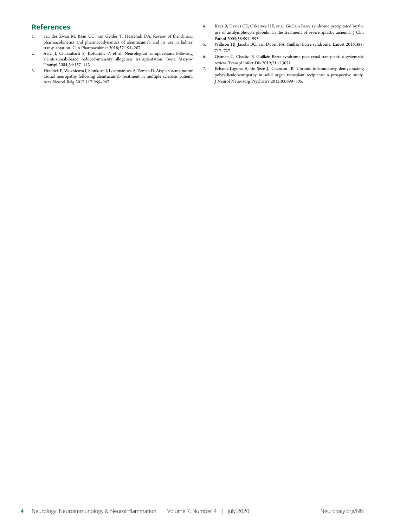#### **References**

- 1. van der Zwan M, Baan CC, van Gelder T, Hesselink DA. Review of the clinical pharmacokinetics and pharmacodynamics of alemtuzumab and its use in kidney transplantation. Clin Pharmacokinet 2018;57:191–207.
- 2. Avivi I, Chakrabarti S, Kottaridis P, et al. Neurological complications following alemtuzumab-based reduced-intensity allogeneic transplantation. Bone Marrow Transpl 2004;34:137–142.
- 3. Hradilek P, Woznicova I, Slonkova J, Lochmanova A, Zeman D. Atypical acute motor axonal neuropathy following alemtuzumab treatment in multiple sclerosis patient. Acta Neurol Belg 2017;117:965–967.
- 4. Kaya B, Davies CE, Oakervee HE, et al. Guillain Barre syndrome precipitated by the use of antilymphocyte globulin in the treatment of severe aplastic anaemia. J Clin Pathol 2005;58:994–995.
- 5. Willison HJ, Jacobs BC, van Doorn PA. Guillain-Barre syndrome. Lancet 2016;388: 717–727.
- 6. Ostman C, Chacko B. Guillain-Barre syndrome post renal transplant: a systematic review. Transpl Infect Dis 2019;21:e13021.
- 7. Echaniz-Laguna A, de Seze J, Chanson JB. Chronic inflammatory demyelinating polyradiculoneuropathy in solid organ transplant recipients: a prospective study. J Neurol Neurosurg Psychiatry 2012;83:699–705.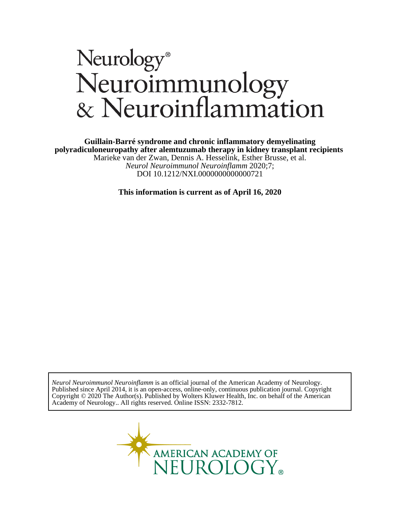# Neurology®<br>Neuroimmunology<br>& Neuroinflammation

DOI 10.1212/NXI.0000000000000721 *Neurol Neuroimmunol Neuroinflamm* 2020;7; Marieke van der Zwan, Dennis A. Hesselink, Esther Brusse, et al. **polyradiculoneuropathy after alemtuzumab therapy in kidney transplant recipients Guillain-Barré syndrome and chronic inflammatory demyelinating**

**This information is current as of April 16, 2020**

Academy of Neurology.. All rights reserved. Online ISSN: 2332-7812. Copyright © 2020 The Author(s). Published by Wolters Kluwer Health, Inc. on behalf of the American Published since April 2014, it is an open-access, online-only, continuous publication journal. Copyright *Neurol Neuroimmunol Neuroinflamm* is an official journal of the American Academy of Neurology.

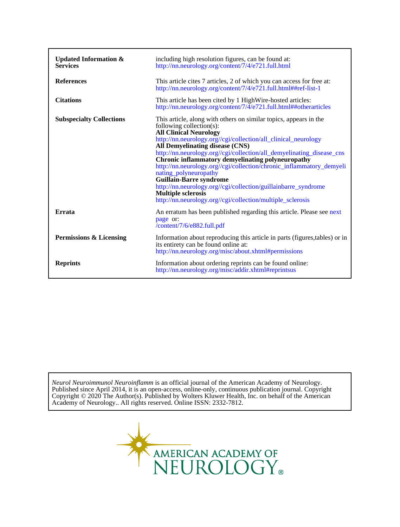| <b>Updated Information &amp;</b><br><b>Services</b> | including high resolution figures, can be found at:<br>http://nn.neurology.org/content/7/4/e721.full.html                                                                                                                                                                                                                                                                                                                                                                                                                                                                                                                                                                |
|-----------------------------------------------------|--------------------------------------------------------------------------------------------------------------------------------------------------------------------------------------------------------------------------------------------------------------------------------------------------------------------------------------------------------------------------------------------------------------------------------------------------------------------------------------------------------------------------------------------------------------------------------------------------------------------------------------------------------------------------|
| <b>References</b>                                   | This article cites 7 articles, 2 of which you can access for free at:<br>http://nn.neurology.org/content/7/4/e721.full.html##ref-list-1                                                                                                                                                                                                                                                                                                                                                                                                                                                                                                                                  |
| <b>Citations</b>                                    | This article has been cited by 1 HighWire-hosted articles:<br>http://nn.neurology.org/content/7/4/e721.full.html##otherarticles                                                                                                                                                                                                                                                                                                                                                                                                                                                                                                                                          |
| <b>Subspecialty Collections</b>                     | This article, along with others on similar topics, appears in the<br>following collection(s):<br><b>All Clinical Neurology</b><br>http://nn.neurology.org//cgi/collection/all_clinical_neurology<br><b>All Demyelinating disease (CNS)</b><br>http://nn.neurology.org//cgi/collection/all_demyelinating_disease_cns<br>Chronic inflammatory demyelinating polyneuropathy<br>http://nn.neurology.org//cgi/collection/chronic_inflammatory_demyeli<br>nating_polyneuropathy<br><b>Guillain-Barre syndrome</b><br>http://nn.neurology.org//cgi/collection/guillainbarre_syndrome<br><b>Multiple sclerosis</b><br>http://nn.neurology.org//cgi/collection/multiple_sclerosis |
| <b>Errata</b>                                       | An erratum has been published regarding this article. Please see next<br>page or:<br>/content/7/6/e882.full.pdf                                                                                                                                                                                                                                                                                                                                                                                                                                                                                                                                                          |
| <b>Permissions &amp; Licensing</b>                  | Information about reproducing this article in parts (figures, tables) or in<br>its entirety can be found online at:<br>http://nn.neurology.org/misc/about.xhtml#permissions                                                                                                                                                                                                                                                                                                                                                                                                                                                                                              |
| <b>Reprints</b>                                     | Information about ordering reprints can be found online:<br>http://nn.neurology.org/misc/addir.xhtml#reprintsus                                                                                                                                                                                                                                                                                                                                                                                                                                                                                                                                                          |

Academy of Neurology.. All rights reserved. Online ISSN: 2332-7812. Copyright © 2020 The Author(s). Published by Wolters Kluwer Health, Inc. on behalf of the American Published since April 2014, it is an open-access, online-only, continuous publication journal. Copyright *Neurol Neuroimmunol Neuroinflamm* is an official journal of the American Academy of Neurology.